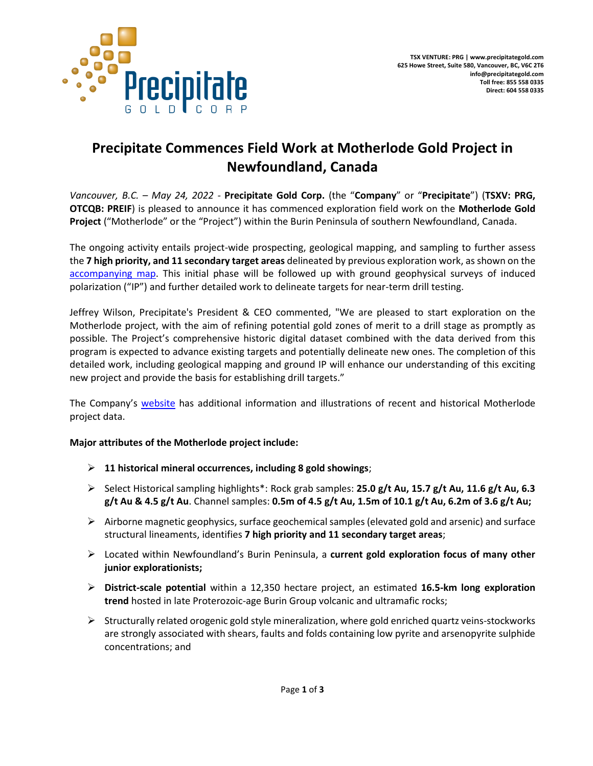

# **Precipitate Commences Field Work at Motherlode Gold Project in Newfoundland, Canada**

*Vancouver, B.C. – May 24, 2022 -* **Precipitate Gold Corp.** (the "**Company**" or "**Precipitate**") (**TSXV: PRG, OTCQB: PREIF**) is pleased to announce it has commenced exploration field work on the **Motherlode Gold Project** ("Motherlode" or the "Project") within the Burin Peninsula of southern Newfoundland, Canada.

The ongoing activity entails project-wide prospecting, geological mapping, and sampling to further assess the **7 high priority, and 11 secondary target areas** delineated by previous exploration work, as shown on the [accompanying map.](https://precipitategold.com/assets/img/2021-11-Motherlode-Mag-Target-Compilation-1-r.jpg) This initial phase will be followed up with ground geophysical surveys of induced polarization ("IP") and further detailed work to delineate targets for near-term drill testing.

Jeffrey Wilson, Precipitate's President & CEO commented, "We are pleased to start exploration on the Motherlode project, with the aim of refining potential gold zones of merit to a drill stage as promptly as possible. The Project's comprehensive historic digital dataset combined with the data derived from this program is expected to advance existing targets and potentially delineate new ones. The completion of this detailed work, including geological mapping and ground IP will enhance our understanding of this exciting new project and provide the basis for establishing drill targets."

The Company's [website](http://www.precipitategold.com/) has additional information and illustrations of recent and historical Motherlode project data.

## **Major attributes of the Motherlode project include:**

- ➢ **11 historical mineral occurrences, including 8 gold showings**;
- ➢ Select Historical sampling highlights\*: Rock grab samples: **25.0 g/t Au, 15.7 g/t Au, 11.6 g/t Au, 6.3 g/t Au & 4.5 g/t Au**. Channel samples: **0.5m of 4.5 g/t Au, 1.5m of 10.1 g/t Au, 6.2m of 3.6 g/t Au;**
- $\triangleright$  Airborne magnetic geophysics, surface geochemical samples (elevated gold and arsenic) and surface structural lineaments, identifies **7 high priority and 11 secondary target areas**;
- ➢ Located within Newfoundland's Burin Peninsula, a **current gold exploration focus of many other junior explorationists;**
- ➢ **District-scale potential** within a 12,350 hectare project, an estimated **16.5-km long exploration trend** hosted in late Proterozoic-age Burin Group volcanic and ultramafic rocks;
- $\triangleright$  Structurally related orogenic gold style mineralization, where gold enriched quartz veins-stockworks are strongly associated with shears, faults and folds containing low pyrite and arsenopyrite sulphide concentrations; and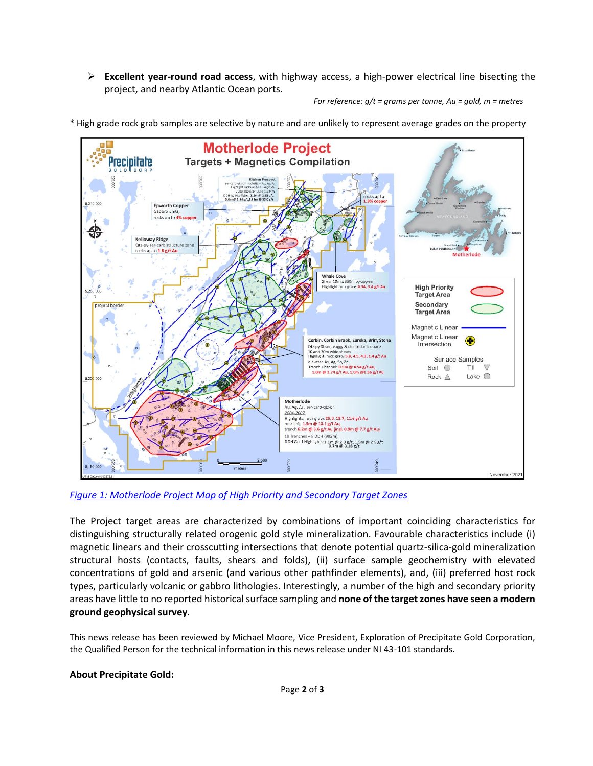➢ **Excellent year-round road access**, with highway access, a high-power electrical line bisecting the project, and nearby Atlantic Ocean ports.

*For reference: g/t = grams per tonne, Au = gold, m = metres*

- **Motherlode Project Targets + Magnetics Compilation** Precipitate **Epworth Copper** Gabbro unit rocks up to 49 **Kelloway Ridge** et events rocks up to 1.8 g/t Au **Whale Cove**<br>Shear 10m x 350m py-apy-ser<br>Highlight rock grabs 6.34, 3.4 g/t Au **High Priority Target Area** Secondary **Target Area** Magnetic Linear Magnetic Linear Corbin, Corbin Brook, Eureka, Briny Stone  $\bigcirc$ Intersection Corporation is a charge of the state of the state of the 10 and 30m wide shears.<br>10 and 30m wide shears. Surface Samples vated As, Ag, Sb, Zn rench-Channel: 0.5m @ 4.54 g/t Au,<br>1.0m @ 2.74 g/t Au, 1.0m @1.56 g/t Au  $\overline{a}$ Soil O Till Rock  $\triangle$  $Take$ Motherlode Au, Ag, As. ser-carb-qtz-chl 2004-2007 2004–2007<br>Highlights: rock grabs 25.0, 15.7, 11.6 g/t Au,<br>rock chip 1.5m @ 10.1 g/t Au,<br>trench 6.2m @ 3.6 g/t Au (incl. 0.9m @ 7.7 g/t Au) 19 Trenches + 8 DDH (902m) DDH Gold Highlights: 1.1m @ 2.0 g/t, 1.5m @ 2.9 g/t<br>0.7m @ 3.18 g/t SS<sub>2</sub> November 202
- \* High grade rock grab samples are selective by nature and are unlikely to represent average grades on the property

*[Figure 1: Motherlode Project Map of High Priority and Secondary Target Zones](https://precipitategold.com/assets/img/2021-11-Motherlode-Mag-Target-Compilation-1-r.jpg)*

The Project target areas are characterized by combinations of important coinciding characteristics for distinguishing structurally related orogenic gold style mineralization. Favourable characteristics include (i) magnetic linears and their crosscutting intersections that denote potential quartz-silica-gold mineralization structural hosts (contacts, faults, shears and folds), (ii) surface sample geochemistry with elevated concentrations of gold and arsenic (and various other pathfinder elements), and, (iii) preferred host rock types, particularly volcanic or gabbro lithologies. Interestingly, a number of the high and secondary priority areas have little to no reported historical surface sampling and **none of the target zones have seen a modern ground geophysical survey**.

This news release has been reviewed by Michael Moore, Vice President, Exploration of Precipitate Gold Corporation, the Qualified Person for the technical information in this news release under NI 43-101 standards.

#### **About Precipitate Gold:**